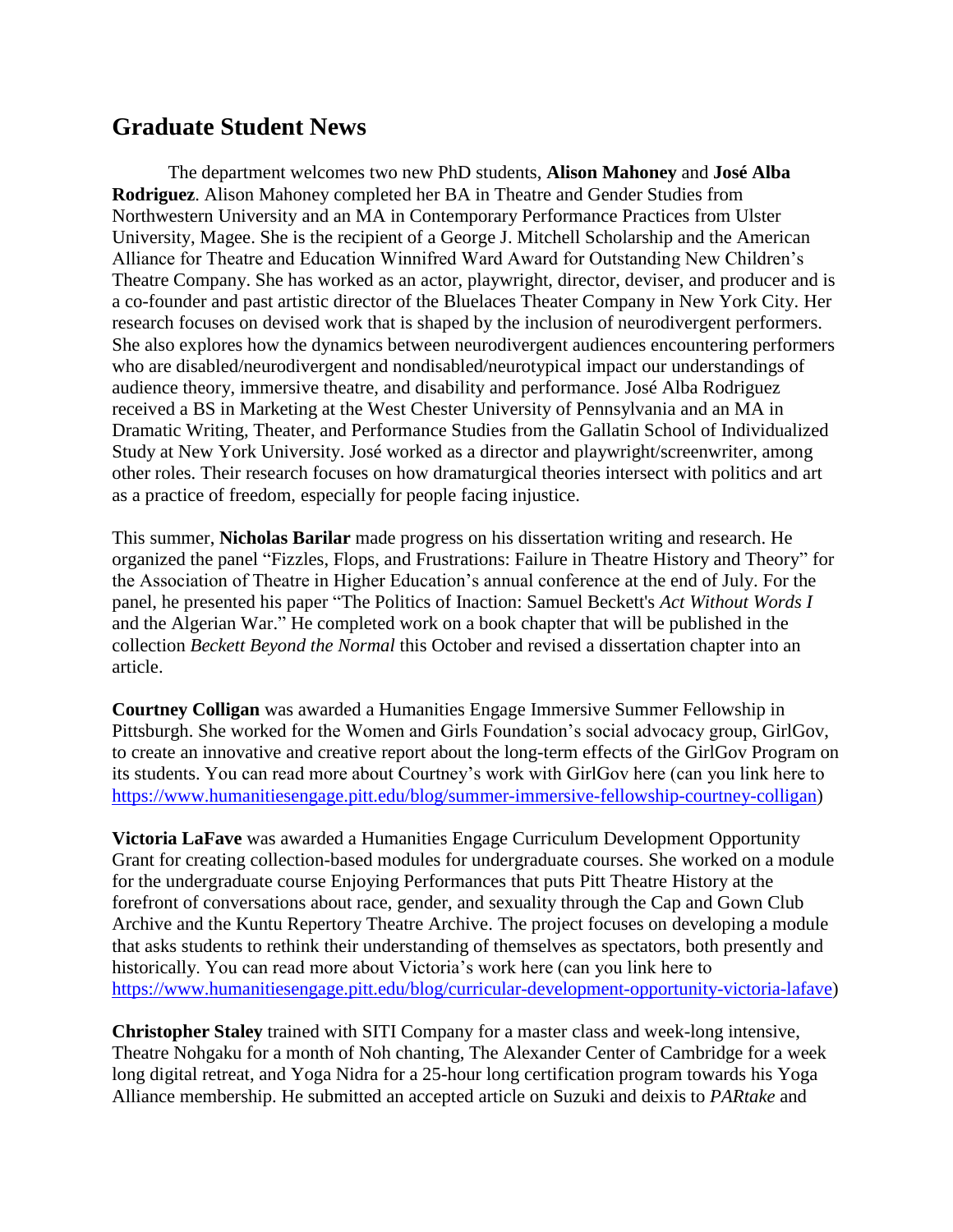## **Graduate Student News**

The department welcomes two new PhD students, **Alison Mahoney** and **José Alba Rodriguez**. Alison Mahoney completed her BA in Theatre and Gender Studies from Northwestern University and an MA in Contemporary Performance Practices from Ulster University, Magee. She is the recipient of a George J. Mitchell Scholarship and the American Alliance for Theatre and Education Winnifred Ward Award for Outstanding New Children's Theatre Company. She has worked as an actor, playwright, director, deviser, and producer and is a co-founder and past artistic director of the Bluelaces Theater Company in New York City. Her research focuses on devised work that is shaped by the inclusion of neurodivergent performers. She also explores how the dynamics between neurodivergent audiences encountering performers who are disabled/neurodivergent and nondisabled/neurotypical impact our understandings of audience theory, immersive theatre, and disability and performance. José Alba Rodriguez received a BS in Marketing at the West Chester University of Pennsylvania and an MA in Dramatic Writing, Theater, and Performance Studies from the Gallatin School of Individualized Study at New York University. José worked as a director and playwright/screenwriter, among other roles. Their research focuses on how dramaturgical theories intersect with politics and art as a practice of freedom, especially for people facing injustice.

This summer, **Nicholas Barilar** made progress on his dissertation writing and research. He organized the panel "Fizzles, Flops, and Frustrations: Failure in Theatre History and Theory" for the Association of Theatre in Higher Education's annual conference at the end of July. For the panel, he presented his paper "The Politics of Inaction: Samuel Beckett's *Act Without Words I*  and the Algerian War." He completed work on a book chapter that will be published in the collection *Beckett Beyond the Normal* this October and revised a dissertation chapter into an article.

**Courtney Colligan** was awarded a Humanities Engage Immersive Summer Fellowship in Pittsburgh. She worked for the Women and Girls Foundation's social advocacy group, GirlGov, to create an innovative and creative report about the long-term effects of the GirlGov Program on its students. You can read more about Courtney's work with GirlGov here (can you link here to [https://www.humanitiesengage.pitt.edu/blog/summer-immersive-fellowship-courtney-colligan\)](https://www.humanitiesengage.pitt.edu/blog/summer-immersive-fellowship-courtney-colligan)

**Victoria LaFave** was awarded a Humanities Engage Curriculum Development Opportunity Grant for creating collection-based modules for undergraduate courses. She worked on a module for the undergraduate course Enjoying Performances that puts Pitt Theatre History at the forefront of conversations about race, gender, and sexuality through the Cap and Gown Club Archive and the Kuntu Repertory Theatre Archive. The project focuses on developing a module that asks students to rethink their understanding of themselves as spectators, both presently and historically. You can read more about Victoria's work here (can you link here to [https://www.humanitiesengage.pitt.edu/blog/curricular-development-opportunity-victoria-lafave\)](https://www.humanitiesengage.pitt.edu/blog/curricular-development-opportunity-victoria-lafave)

**Christopher Staley** trained with SITI Company for a master class and week-long intensive, Theatre Nohgaku for a month of Noh chanting, The Alexander Center of Cambridge for a week long digital retreat, and Yoga Nidra for a 25-hour long certification program towards his Yoga Alliance membership. He submitted an accepted article on Suzuki and deixis to *PARtake* and